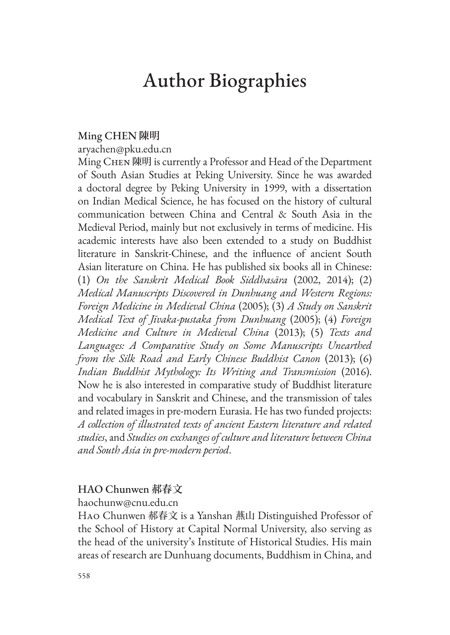# Author Biographies

## Ming CHEN **陳明**

aryachen@pku.edu.cn

Ming CHEN 陳明 is currently a Professor and Head of the Department of South Asian Studies at Peking University. Since he was awarded a doctoral degree by Peking University in 1999, with a dissertation on Indian Medical Science, he has focused on the history of cultural communication between China and Central & South Asia in the Medieval Period, mainly but not exclusively in terms of medicine. His academic interests have also been extended to a study on Buddhist literature in Sanskrit-Chinese, and the influence of ancient South Asian literature on China. He has published six books all in Chinese: (1) *On the Sanskrit Medical Book Siddhasāra* (2002, 2014); (2) *Medical Manuscripts Discovered in Dunhuang and Western Regions: Foreign Medicine in Medieval China* (2005); (3) *A Study on Sanskrit Medical Text of Jīvaka-pustaka from Dunhuang* (2005); (4) *Foreign Medicine and Culture in Medieval China* (2013); (5) *Texts and Languages: A Comparative Study on Some Manuscripts Unearthed from the Silk Road and Early Chinese Buddhist Canon* (2013); (6) *Indian Buddhist Mythology: Its Writing and Transmission* (2016). Now he is also interested in comparative study of Buddhist literature and vocabulary in Sanskrit and Chinese, and the transmission of tales and related images in pre-modern Eurasia. He has two funded projects: *A collection of illustrated texts of ancient Eastern literature and related studies*, and *Studies on exchanges of culture and literature between China and South Asia in pre-modern period*.

# HAO Chunwen **郝春文**

haochunw@cnu.edu.cn

Hao Chunwen 郝春文 is a Yanshan 燕山 Distinguished Professor of the School of History at Capital Normal University, also serving as the head of the university's Institute of Historical Studies. His main areas of research are Dunhuang documents, Buddhism in China, and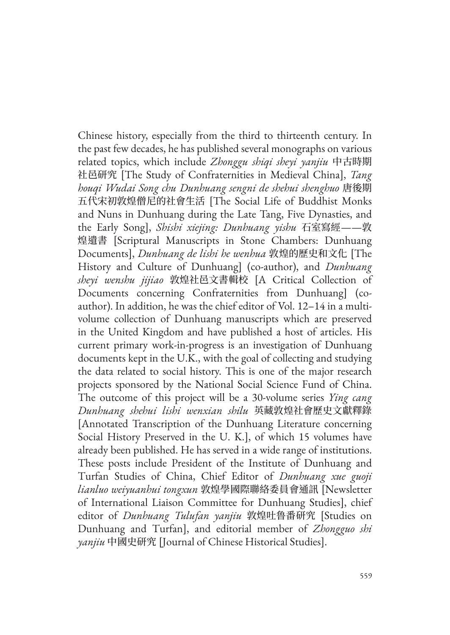Chinese history, especially from the third to thirteenth century. In the past few decades, he has published several monographs on various related topics, which include *Zhonggu shiqi sheyi yanjiu* 中古時期 社邑研究 [The Study of Confraternities in Medieval China], *Tang houqi Wudai Song chu Dunhuang sengni de shehui shenghuo* 唐後期 五代宋初敦煌僧尼的社會生活 [The Social Life of Buddhist Monks and Nuns in Dunhuang during the Late Tang, Five Dynasties, and the Early Song], *Shishi xiejing: Dunhuang yishu* 石室寫經——敦 煌遺書 [Scriptural Manuscripts in Stone Chambers: Dunhuang Documents], *Dunhuang de lishi he wenhua* 敦煌的歷史和文化 [The History and Culture of Dunhuang] (co-author), and *Dunhuang sheyi wenshu jijiao* 敦煌社邑文書輯校 [A Critical Collection of Documents concerning Confraternities from Dunhuang] (coauthor). In addition, he was the chief editor of Vol. 12–14 in a multivolume collection of Dunhuang manuscripts which are preserved in the United Kingdom and have published a host of articles. His current primary work-in-progress is an investigation of Dunhuang documents kept in the U.K., with the goal of collecting and studying the data related to social history. This is one of the major research projects sponsored by the National Social Science Fund of China. The outcome of this project will be a 30-volume series *Ying cang Dunhuang shehui lishi wenxian shilu* 英藏敦煌社會歷史文獻釋錄 [Annotated Transcription of the Dunhuang Literature concerning Social History Preserved in the U. K.], of which 15 volumes have already been published. He has served in a wide range of institutions. These posts include President of the Institute of Dunhuang and Turfan Studies of China, Chief Editor of *Dunhuang xue guoji lianluo weiyuanhui tongxun* 敦煌學國際聯絡委員會通訊 [Newsletter of International Liaison Committee for Dunhuang Studies], chief editor of *Dunhuang Tulufan yanjiu* 敦煌吐鲁番研究 [Studies on Dunhuang and Turfan], and editorial member of *Zhongguo shi yanjiu* 中國史研究 [Journal of Chinese Historical Studies].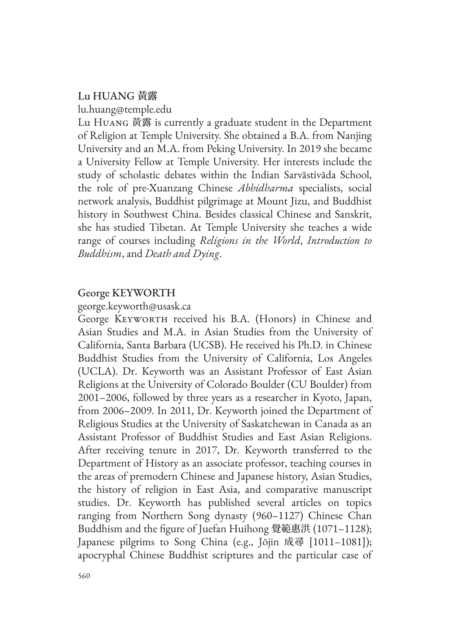# Lu HUANG **黃露** lu.huang@temple.edu

Lu Huang 黃露 is currently a graduate student in the Department of Religion at Temple University. She obtained a B.A. from Nanjing University and an M.A. from Peking University. In 2019 she became a University Fellow at Temple University. Her interests include the study of scholastic debates within the Indian Sarvāstivāda School, the role of pre-Xuanzang Chinese *Abhidharma* specialists, social network analysis, Buddhist pilgrimage at Mount Jizu, and Buddhist history in Southwest China. Besides classical Chinese and Sanskrit, she has studied Tibetan. At Temple University she teaches a wide range of courses including *Religions in the World*, *Introduction to Buddhism*, and *Death and Dying*.

# George KEYWORTH

george.keyworth@usask.ca

George Keyworth received his B.A. (Honors) in Chinese and Asian Studies and M.A. in Asian Studies from the University of California, Santa Barbara (UCSB). He received his Ph.D. in Chinese Buddhist Studies from the University of California, Los Angeles (UCLA). Dr. Keyworth was an Assistant Professor of East Asian Religions at the University of Colorado Boulder (CU Boulder) from 2001–2006, followed by three years as a researcher in Kyoto, Japan, from 2006–2009. In 2011, Dr. Keyworth joined the Department of Religious Studies at the University of Saskatchewan in Canada as an Assistant Professor of Buddhist Studies and East Asian Religions. After receiving tenure in 2017, Dr. Keyworth transferred to the Department of History as an associate professor, teaching courses in the areas of premodern Chinese and Japanese history, Asian Studies, the history of religion in East Asia, and comparative manuscript studies. Dr. Keyworth has published several articles on topics ranging from Northern Song dynasty (960–1127) Chinese Chan Buddhism and the figure of Juefan Huihong 覺範惠洪 (1071–1128); Japanese pilgrims to Song China (e.g., Jōjin 成尋 [1011–1081]); apocryphal Chinese Buddhist scriptures and the particular case of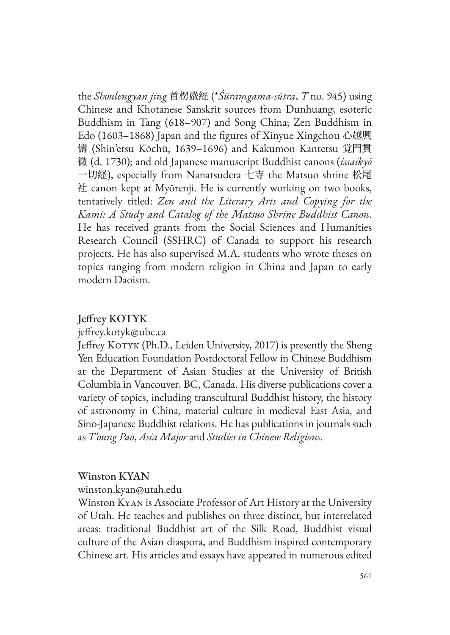the *Shoulengyan jing* 首楞嚴經 (\**Śūraṃgama-sūtra*, *T* no. 945) using Chinese and Khotanese Sanskrit sources from Dunhuang; esoteric Buddhism in Tang (618–907) and Song China; Zen Buddhism in Edo (1603–1868) Japan and the figures of Xinyue Xingchou 心越興 儔 (Shin'etsu Kōchū, 1639–1696) and Kakumon Kantetsu 覚門貫 徹 (d. 1730); and old Japanese manuscript Buddhist canons (*issaikyō* 一切経), especially from Nanatsudera 七寺 the Matsuo shrine 松尾 社 canon kept at Myōrenji. He is currently working on two books, tentatively titled: *Zen and the Literary Arts and Copying for the Kami: A Study and Catalog of the Matsuo Shrine Buddhist Canon*. He has received grants from the Social Sciences and Humanities Research Council (SSHRC) of Canada to support his research projects. He has also supervised M.A. students who wrote theses on topics ranging from modern religion in China and Japan to early modern Daoism.

# Jeffrey KOTYK

jeffrey.kotyk@ubc.ca

Jeffrey KOTYK (Ph.D., Leiden University, 2017) is presently the Sheng Yen Education Foundation Postdoctoral Fellow in Chinese Buddhism at the Department of Asian Studies at the University of British Columbia in Vancouver, BC, Canada. His diverse publications cover a variety of topics, including transcultural Buddhist history, the history of astronomy in China, material culture in medieval East Asia, and Sino-Japanese Buddhist relations. He has publications in journals such as *T'oung Pao*, *Asia Major* and *Studies in Chinese Religions*.

## Winston KYAN

winston.kyan@utah.edu

Winston Kyan is Associate Professor of Art History at the University of Utah. He teaches and publishes on three distinct, but interrelated areas: traditional Buddhist art of the Silk Road, Buddhist visual culture of the Asian diaspora, and Buddhism inspired contemporary Chinese art. His articles and essays have appeared in numerous edited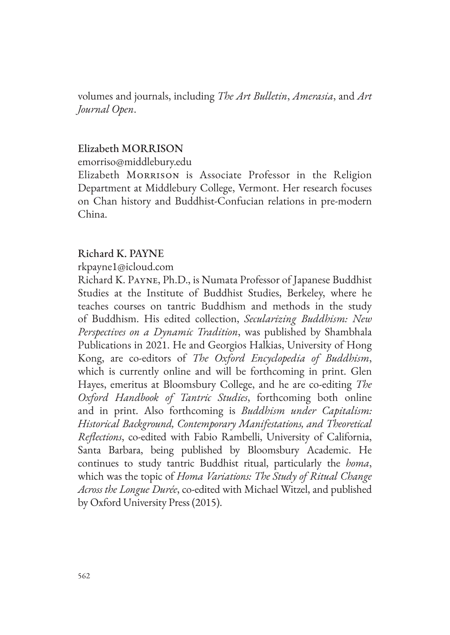volumes and journals, including *The Art Bulletin*, *Amerasia*, and *Art Journal Open*.

#### Elizabeth MORRISON

emorriso@middlebury.edu

Elizabeth Morrison is Associate Professor in the Religion Department at Middlebury College, Vermont. Her research focuses on Chan history and Buddhist-Confucian relations in pre-modern China.

## Richard K. PAYNE

rkpayne1@icloud.com

Richard K. Payne, Ph.D., is Numata Professor of Japanese Buddhist Studies at the Institute of Buddhist Studies, Berkeley, where he teaches courses on tantric Buddhism and methods in the study of Buddhism. His edited collection, *Secularizing Buddhism: New Perspectives on a Dynamic Tradition*, was published by Shambhala Publications in 2021. He and Georgios Halkias, University of Hong Kong, are co-editors of *The Oxford Encyclopedia of Buddhism*, which is currently online and will be forthcoming in print. Glen Hayes, emeritus at Bloomsbury College, and he are co-editing *The Oxford Handbook of Tantric Studies*, forthcoming both online and in print. Also forthcoming is *Buddhism under Capitalism: Historical Background, Contemporary Manifestations, and Theoretical Reflections*, co-edited with Fabio Rambelli, University of California, Santa Barbara, being published by Bloomsbury Academic. He continues to study tantric Buddhist ritual, particularly the *homa*, which was the topic of *Homa Variations: The Study of Ritual Change Across the Longue Durée*, co-edited with Michael Witzel, and published by Oxford University Press (2015).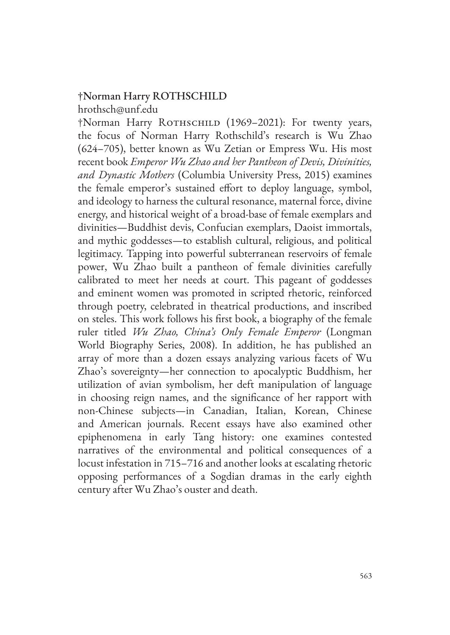#### †Norman Harry ROTHSCHILD hrothsch@unf.edu

†Norman Harry ROTHSCHILD (1969–2021): For twenty years, the focus of Norman Harry Rothschild's research is Wu Zhao (624–705), better known as Wu Zetian or Empress Wu. His most recent book *Emperor Wu Zhao and her Pantheon of Devis, Divinities, and Dynastic Mothers* (Columbia University Press, 2015) examines the female emperor's sustained effort to deploy language, symbol, and ideology to harness the cultural resonance, maternal force, divine energy, and historical weight of a broad-base of female exemplars and divinities—Buddhist devis, Confucian exemplars, Daoist immortals, and mythic goddesses—to establish cultural, religious, and political legitimacy. Tapping into powerful subterranean reservoirs of female power, Wu Zhao built a pantheon of female divinities carefully calibrated to meet her needs at court. This pageant of goddesses and eminent women was promoted in scripted rhetoric, reinforced through poetry, celebrated in theatrical productions, and inscribed on steles. This work follows his first book, a biography of the female ruler titled *Wu Zhao, China's Only Female Emperor* (Longman World Biography Series, 2008). In addition, he has published an array of more than a dozen essays analyzing various facets of Wu Zhao's sovereignty—her connection to apocalyptic Buddhism, her utilization of avian symbolism, her deft manipulation of language in choosing reign names, and the significance of her rapport with non-Chinese subjects—in Canadian, Italian, Korean, Chinese and American journals. Recent essays have also examined other epiphenomena in early Tang history: one examines contested narratives of the environmental and political consequences of a locust infestation in 715–716 and another looks at escalating rhetoric opposing performances of a Sogdian dramas in the early eighth century after Wu Zhao's ouster and death.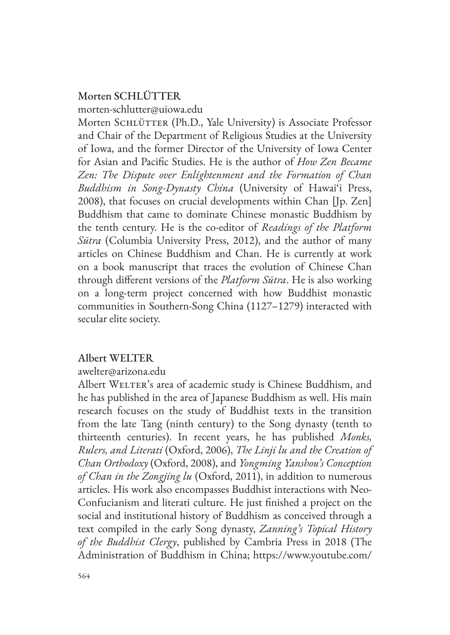# Morten SCHLÜTTER

morten-schlutter@uiowa.edu

Morten SCHLÜTTER (Ph.D., Yale University) is Associate Professor and Chair of the Department of Religious Studies at the University of Iowa, and the former Director of the University of Iowa Center for Asian and Pacific Studies. He is the author of *How Zen Became Zen: The Dispute over Enlightenment and the Formation of Chan Buddhism in Song-Dynasty China* (University of Hawai'i Press, 2008), that focuses on crucial developments within Chan [Jp. Zen] Buddhism that came to dominate Chinese monastic Buddhism by the tenth century. He is the co-editor of *Readings of the Platform Sūtra* (Columbia University Press, 2012), and the author of many articles on Chinese Buddhism and Chan. He is currently at work on a book manuscript that traces the evolution of Chinese Chan through different versions of the *Platform Sūtra*. He is also working on a long-term project concerned with how Buddhist monastic communities in Southern-Song China (1127–1279) interacted with secular elite society.

# Albert WELTER

## awelter@arizona.edu

Albert WELTER's area of academic study is Chinese Buddhism, and he has published in the area of Japanese Buddhism as well. His main research focuses on the study of Buddhist texts in the transition from the late Tang (ninth century) to the Song dynasty (tenth to thirteenth centuries). In recent years, he has published *Monks, Rulers, and Literati* (Oxford, 2006), *The Linji lu and the Creation of Chan Orthodoxy* (Oxford, 2008), and *Yongming Yanshou's Conception of Chan in the Zongjing lu* (Oxford, 2011), in addition to numerous articles. His work also encompasses Buddhist interactions with Neo-Confucianism and literati culture. He just finished a project on the social and institutional history of Buddhism as conceived through a text compiled in the early Song dynasty, *Zanning's Topical History of the Buddhist Clergy*, published by Cambria Press in 2018 (The Administration of Buddhism in China; https://www.youtube.com/